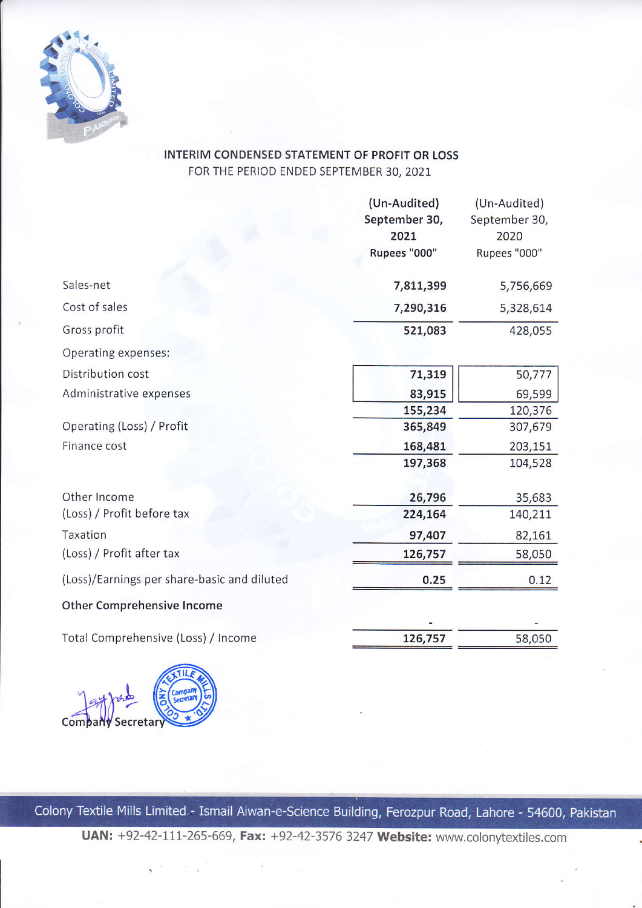

## INTERIM CONDENSED STATEMENT OF PROFIT OR LOSS FOR THE PERIOD ENDED SEPTEMBER 30,2O2L

|                                             | (Un-Audited)          | (Un-Audited)          |
|---------------------------------------------|-----------------------|-----------------------|
|                                             | September 30,<br>2021 | September 30,<br>2020 |
|                                             | Rupees "000"          | Rupees "000"          |
|                                             |                       |                       |
| Sales-net                                   | 7,811,399             | 5,756,669             |
| Cost of sales                               | 7,290,316             | 5,328,614             |
| Gross profit                                | 521,083               | 428,055               |
| Operating expenses:                         |                       |                       |
| Distribution cost                           | 71,319                | 50,777                |
| Administrative expenses                     | 83,915                | 69,599                |
|                                             | 155,234               | 120,376               |
| Operating (Loss) / Profit                   | 365,849               | 307,679               |
| Finance cost                                | 168,481               | 203,151               |
|                                             | 197,368               | 104,528               |
| Other Income                                | 26,796                | 35,683                |
| (Loss) / Profit before tax                  | 224,164               | 140,211               |
| Taxation                                    | 97,407                | 82,161                |
| (Loss) / Profit after tax                   | 126,757               | 58,050                |
| (Loss)/Earnings per share-basic and diluted | 0.25                  | 0.12                  |
| <b>Other Comprehensive Income</b>           |                       |                       |
|                                             |                       |                       |
| Total Comprehensive (Loss) / Income         | 126,757               | 58,050                |
|                                             |                       |                       |



Colony Textile Mills Limited - Ismail Aiwan-e-Science Building, Ferozpur Road, Lahore - 54600, Pakistan

UAN: +92-42-111-265-669, Fax: +92-42-3576 3247 Website: www.colonytextiles.com